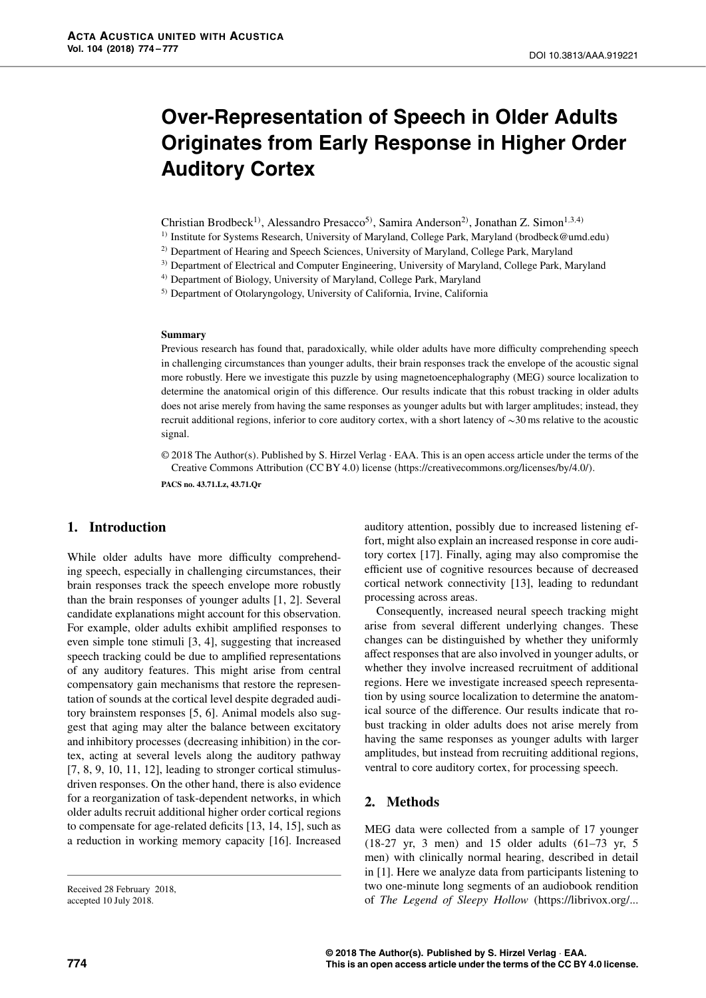# **Over-Representation of Speech in Older Adults Originates from Early Response in Higher Order Auditory Cortex**

Christian Brodbeck<sup>1)</sup>, Alessandro Presacco<sup>5)</sup>, Samira Anderson<sup>2)</sup>, Jonathan Z. Simon<sup>1,3,4)</sup>

<sup>1)</sup> Institute for Systems Research, University of Maryland, College Park, Maryland (brodbeck@umd.edu)

<sup>2)</sup> Department of Hearing and Speech Sciences, University of Maryland, College Park, Maryland

<sup>3)</sup> Department of Electrical and Computer Engineering, University of Maryland, College Park, Maryland

4) Department of Biology, University of Maryland, College Park, Maryland

5) Department of Otolaryngology, University of California, Irvine, California

#### **Summary**

Previous research has found that, paradoxically, while older adults have more difficulty comprehending speech in challenging circumstances than younger adults, their brain responses track the envelope of the acoustic signal more robustly. Here we investigate this puzzle by using magnetoencephalography (MEG) source localization to determine the anatomical origin of this difference. Our results indicate that this robust tracking in older adults does not arise merely from having the same responses as younger adults but with larger amplitudes; instead, they recruit additional regions, inferior to core auditory cortex, with a short latency of ∼30 ms relative to the acoustic signal.

© 2018 The Author(s). Published by S. Hirzel Verlag · EAA. This is an open access article under the terms of the Creative Commons Attribution (CC BY 4.0) license (https://creativecommons.org/licenses/by/4.0/). **PACS no. 43.71.Lz, 43.71.Qr**

## **1. Introduction**

While older adults have more difficulty comprehending speech, especially in challenging circumstances, their brain responses track the speech envelope more robustly than the brain responses of younger adults [1, 2]. Several candidate explanations might account for this observation. For example, older adults exhibit amplified responses to even simple tone stimuli [3, 4], suggesting that increased speech tracking could be due to amplified representations of any auditory features. This might arise from central compensatory gain mechanisms that restore the representation of sounds at the cortical level despite degraded auditory brainstem responses [5, 6]. Animal models also suggest that aging may alter the balance between excitatory and inhibitory processes (decreasing inhibition) in the cortex, acting at several levels along the auditory pathway [7, 8, 9, 10, 11, 12], leading to stronger cortical stimulusdriven responses. On the other hand, there is also evidence for a reorganization of task-dependent networks, in which older adults recruit additional higher order cortical regions to compensate for age-related deficits [13, 14, 15], such as a reduction in working memory capacity [16]. Increased

auditory attention, possibly due to increased listening effort, might also explain an increased response in core auditory cortex [17]. Finally, aging may also compromise the efficient use of cognitive resources because of decreased cortical network connectivity [13], leading to redundant processing across areas.

Consequently, increased neural speech tracking might arise from several different underlying changes. These changes can be distinguished by whether they uniformly affect responses that are also involved in younger adults, or whether they involve increased recruitment of additional regions. Here we investigate increased speech representation by using source localization to determine the anatomical source of the difference. Our results indicate that robust tracking in older adults does not arise merely from having the same responses as younger adults with larger amplitudes, but instead from recruiting additional regions, ventral to core auditory cortex, for processing speech.

## **2. Methods**

MEG data were collected from a sample of 17 younger (18-27 yr,3men) and 15 older adults (61–73 yr, 5 men) with clinically normal hearing, described in detail in [1]. Here we analyze data from participants listening to two one-minute long segments of an audiobook rendition of The Legend of Sleepy Hollow (https://librivox.org/...

Received 28 February 2018, accepted 10 July 2018.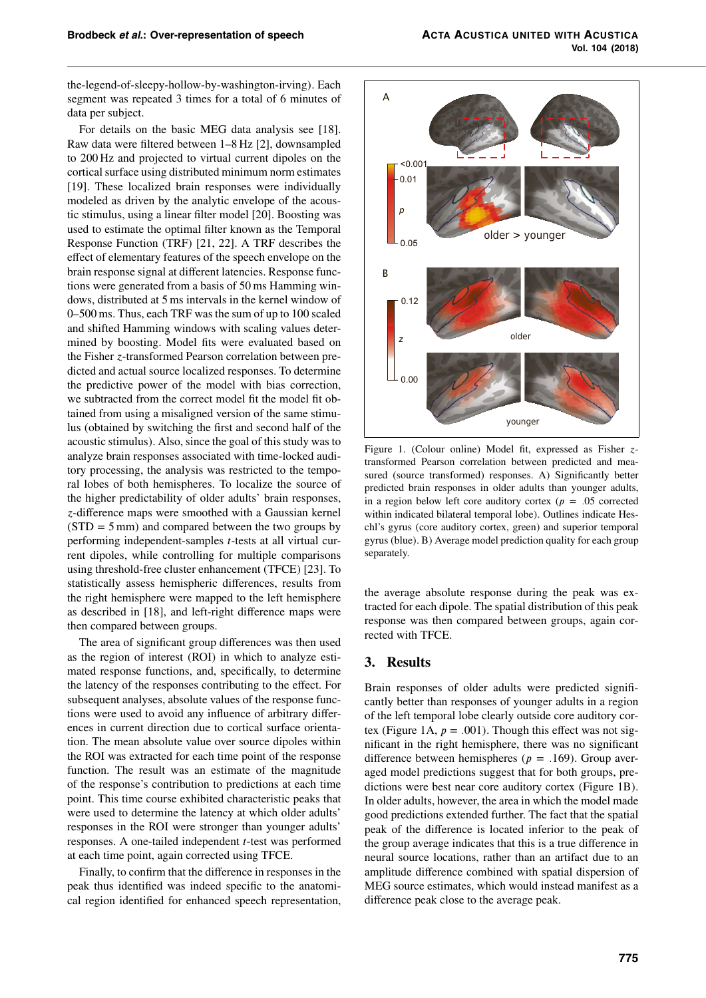the-legend-of-sleepy-hollow-by-washington-irving). Each segment was repeated 3 times for a total of 6 minutes of data per subject.

For details on the basic MEG data analysis see [18]. Raw data were filtered between 1–8 Hz [2], downsampled to 200 Hz and projected to virtual current dipoles on the cortical surface using distributed minimum norm estimates [19]. These localized brain responses were individually modeled as driven by the analytic envelope of the acoustic stimulus, using a linear filter model [20]. Boosting was used to estimate the optimal filter known as the Temporal Response Function (TRF) [21, 22]. A TRF describes the effect of elementary features of the speech envelope on the brain response signal at different latencies. Response functions were generated from a basis of 50 ms Hamming windows, distributed at 5 ms intervals in the kernel window of 0–500 ms. Thus, each TRF was the sum of up to 100 scaled and shifted Hamming windows with scaling values determined by boosting. Model fits were evaluated based on the Fisher *z*-transformed Pearson correlation between predicted and actual source localized responses. To determine the predictive power of the model with bias correction, we subtracted from the correct model fit the model fit obtained from using a misaligned version of the same stimulus (obtained by switching the first and second half of the acoustic stimulus). Also, since the goal of this study was to analyze brain responses associated with time-locked auditory processing, the analysis was restricted to the temporal lobes of both hemispheres. To localize the source of the higher predictability of older adults' brain responses, *z*-difference maps were smoothed with a Gaussian kernel  $(STD = 5$  mm) and compared between the two groups by performing independent-samples *t*-tests at all virtual current dipoles, while controlling for multiple comparisons using threshold-free cluster enhancement (TFCE) [23]. To statistically assess hemispheric differences, results from the right hemisphere were mapped to the left hemisphere as described in [18], and left-right difference maps were then compared between groups.

The area of significant group differences was then used as the region of interest (ROI) in which to analyze estimated response functions, and, specifically, to determine the latency of the responses contributing to the effect. For subsequent analyses, absolute values of the response functions were used to avoid any influence of arbitrary differences in current direction due to cortical surface orientation. The mean absolute value over source dipoles within the ROI was extracted for each time point of the response function. The result was an estimate of the magnitude of the response's contribution to predictions at each time point. This time course exhibited characteristic peaks that were used to determine the latency at which older adults' responses in the ROI were stronger than younger adults' responses. A one-tailed independent *t*-test was performed at each time point, again corrected using TFCE.

Finally, to confirm that the difference in responses in the peak thus identified was indeed specific to the anatomical region identified for enhanced speech representation,



Figure 1. (Colour online) Model fit, expressed as Fisher *z*transformed Pearson correlation between predicted and measured (source transformed) responses. A) Significantly better predicted brain responses in older adults than younger adults, in a region below left core auditory cortex ( $p = .05$  corrected within indicated bilateral temporal lobe). Outlines indicate Heschl's gyrus (core auditory cortex, green) and superior temporal gyrus (blue). B) Average model prediction quality for each group separately.

the average absolute response during the peak was extracted for each dipole. The spatial distribution of this peak response was then compared between groups, again corrected with TFCE.

## **3. Results**

Brain responses of older adults were predicted significantly better than responses of younger adults in a region of the left temporal lobe clearly outside core auditory cortex (Figure 1A,  $p = .001$ ). Though this effect was not significant in the right hemisphere, there was no significant difference between hemispheres (*p* = *.*169). Group averaged model predictions suggest that for both groups, predictions were best near core auditory cortex (Figure 1B). In older adults, however, the area in which the model made good predictions extended further. The fact that the spatial peak of the difference is located inferior to the peak of the group average indicates that this is a true difference in neural source locations, rather than an artifact due to an amplitude difference combined with spatial dispersion of MEG source estimates, which would instead manifest as a difference peak close to the average peak.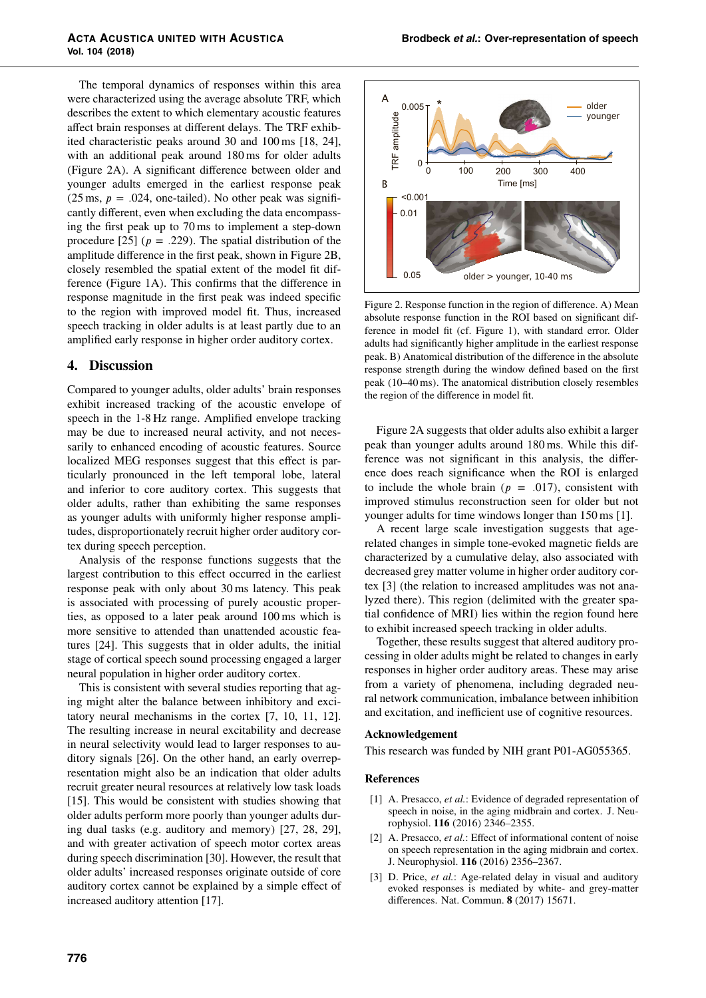The temporal dynamics of responses within this area were characterized using the average absolute TRF, which describes the extent to which elementary acoustic features affect brain responses at different delays. The TRF exhibited characteristic peaks around 30 and 100 ms [18, 24], with an additional peak around 180 ms for older adults (Figure 2A). A significant difference between older and younger adults emerged in the earliest response peak  $(25 \text{ ms}, p = .024, \text{ one-tailed})$ . No other peak was significantly different, even when excluding the data encompassing the first peak up to 70 ms to implement a step-down procedure [25] (*p* = *.*229). The spatial distribution of the amplitude difference in the first peak, shown in Figure 2B, closely resembled the spatial extent of the model fit difference (Figure 1A). This confirms that the difference in response magnitude in the first peak was indeed specific to the region with improved model fit. Thus, increased speech tracking in older adults is at least partly due to an amplified early response in higher order auditory cortex.

### **4. Discussion**

Compared to younger adults, older adults' brain responses exhibit increased tracking of the acoustic envelope of speech in the 1-8 Hz range. Amplified envelope tracking may be due to increased neural activity, and not necessarily to enhanced encoding of acoustic features. Source localized MEG responses suggest that this effect is particularly pronounced in the left temporal lobe, lateral and inferior to core auditory cortex. This suggests that older adults, rather than exhibiting the same responses as younger adults with uniformly higher response amplitudes, disproportionately recruit higher order auditory cortex during speech perception.

Analysis of the response functions suggests that the largest contribution to this effect occurred in the earliest response peak with only about 30 ms latency. This peak is associated with processing of purely acoustic properties, as opposed to a later peak around 100 ms which is more sensitive to attended than unattended acoustic features [24]. This suggests that in older adults, the initial stage of cortical speech sound processing engaged a larger neural population in higher order auditory cortex.

This is consistent with several studies reporting that aging might alter the balance between inhibitory and excitatory neural mechanisms in the cortex [7, 10, 11, 12]. The resulting increase in neural excitability and decrease in neural selectivity would lead to larger responses to auditory signals [26]. On the other hand, an early overrepresentation might also be an indication that older adults recruit greater neural resources at relatively low task loads [15]. This would be consistent with studies showing that older adults perform more poorly than younger adults during dual tasks (e.g. auditory and memory) [27, 28, 29], and with greater activation of speech motor cortex areas during speech discrimination [30]. However, the result that older adults' increased responses originate outside of core auditory cortex cannot be explained by a simple effect of increased auditory attention [17].



Figure 2. Response function in the region of difference. A) Mean absolute response function in the ROI based on significant difference in model fit (cf. Figure 1), with standard error. Older adults had significantly higher amplitude in the earliest response peak. B) Anatomical distribution of the difference in the absolute response strength during the window defined based on the first peak (10–40 ms). The anatomical distribution closely resembles the region of the difference in model fit.

Figure 2A suggests that older adults also exhibit a larger peak than younger adults around 180 ms. While this difference was not significant in this analysis, the difference does reach significance when the ROI is enlarged to include the whole brain  $(p = .017)$ , consistent with improved stimulus reconstruction seen for older but not younger adults for time windows longer than 150 ms [1].

A recent large scale investigation suggests that agerelated changes in simple tone-evoked magnetic fields are characterized by a cumulative delay, also associated with decreased grey matter volume in higher order auditory cortex [3] (the relation to increased amplitudes was not analyzed there). This region (delimited with the greater spatial confidence of MRI) lies within the region found here to exhibit increased speech tracking in older adults.

Together, these results suggest that altered auditory processing in older adults might be related to changes in early responses in higher order auditory areas. These may arise from a variety of phenomena, including degraded neural network communication, imbalance between inhibition and excitation, and inefficient use of cognitive resources.

#### **Acknowledgement**

This research was funded by NIH grant P01-AG055365.

#### **References**

- [1] A. Presacco, et al.: Evidence of degraded representation of speech in noise, in the aging midbrain and cortex. J. Neurophysiol. **116** (2016) 2346–2355.
- [2] A. Presacco, et al.: Effect of informational content of noise on speech representation in the aging midbrain and cortex. J. Neurophysiol. **116** (2016) 2356–2367.
- [3] D. Price, et al.: Age-related delay in visual and auditory evoked responses is mediated by white- and grey-matter differences. Nat. Commun. **8** (2017) 15671.